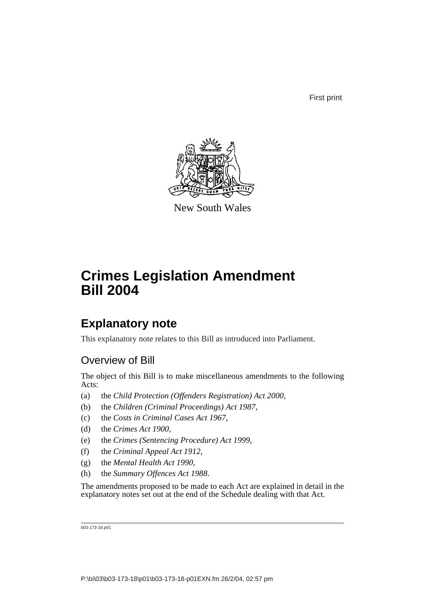First print



New South Wales

# **Crimes Legislation Amendment Bill 2004**

# **Explanatory note**

This explanatory note relates to this Bill as introduced into Parliament.

# Overview of Bill

The object of this Bill is to make miscellaneous amendments to the following Acts:

- (a) the *Child Protection (Offenders Registration) Act 2000*,
- (b) the *Children (Criminal Proceedings) Act 1987*,
- (c) the *Costs in Criminal Cases Act 1967*,
- (d) the *Crimes Act 1900*,
- (e) the *Crimes (Sentencing Procedure) Act 1999*,
- (f) the *Criminal Appeal Act 1912*,
- (g) the *Mental Health Act 1990*,
- (h) the *Summary Offences Act 1988*.

The amendments proposed to be made to each Act are explained in detail in the explanatory notes set out at the end of the Schedule dealing with that Act.

b03-173-18.p01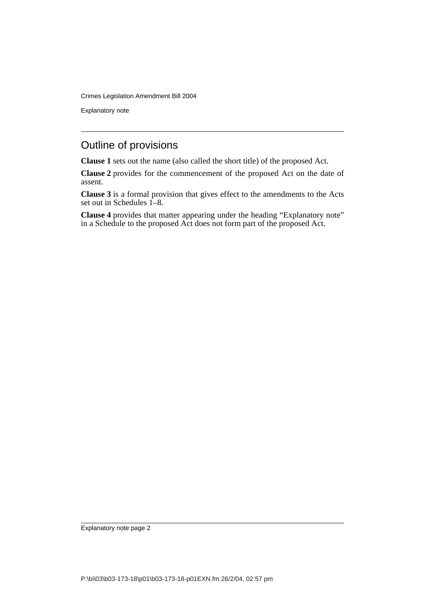Explanatory note

# Outline of provisions

**Clause 1** sets out the name (also called the short title) of the proposed Act.

**Clause 2** provides for the commencement of the proposed Act on the date of assent.

**Clause 3** is a formal provision that gives effect to the amendments to the Acts set out in Schedules 1–8.

**Clause 4** provides that matter appearing under the heading "Explanatory note" in a Schedule to the proposed Act does not form part of the proposed Act.

Explanatory note page 2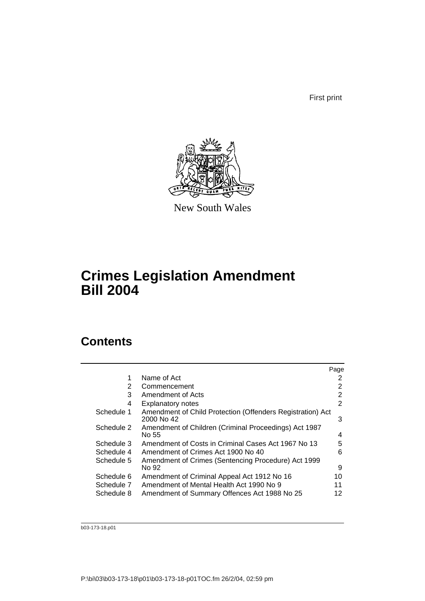First print



New South Wales

# **Crimes Legislation Amendment Bill 2004**

# **Contents**

|            |                                                                          | Page |
|------------|--------------------------------------------------------------------------|------|
| 1          | Name of Act                                                              | 2    |
| 2          | Commencement                                                             | 2    |
| 3          | Amendment of Acts                                                        | 2    |
| 4          | <b>Explanatory notes</b>                                                 | 2    |
| Schedule 1 | Amendment of Child Protection (Offenders Registration) Act<br>2000 No 42 | 3    |
| Schedule 2 | Amendment of Children (Criminal Proceedings) Act 1987<br>No 55           | 4    |
| Schedule 3 | Amendment of Costs in Criminal Cases Act 1967 No 13                      | 5    |
| Schedule 4 | Amendment of Crimes Act 1900 No 40                                       | 6    |
| Schedule 5 | Amendment of Crimes (Sentencing Procedure) Act 1999<br>No 92             | 9    |
| Schedule 6 | Amendment of Criminal Appeal Act 1912 No 16                              | 10   |
| Schedule 7 | Amendment of Mental Health Act 1990 No 9                                 | 11   |
| Schedule 8 | Amendment of Summary Offences Act 1988 No 25                             | 12   |

b03-173-18.p01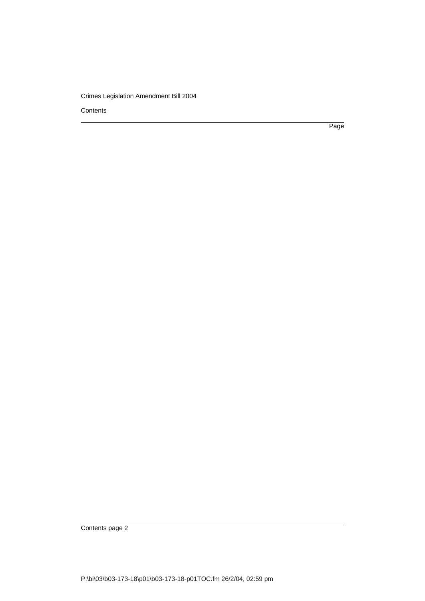**Contents** 

Page

Contents page 2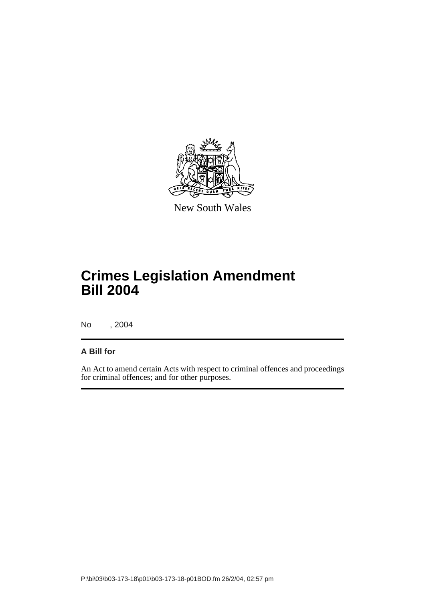

New South Wales

# **Crimes Legislation Amendment Bill 2004**

No , 2004

## **A Bill for**

An Act to amend certain Acts with respect to criminal offences and proceedings for criminal offences; and for other purposes.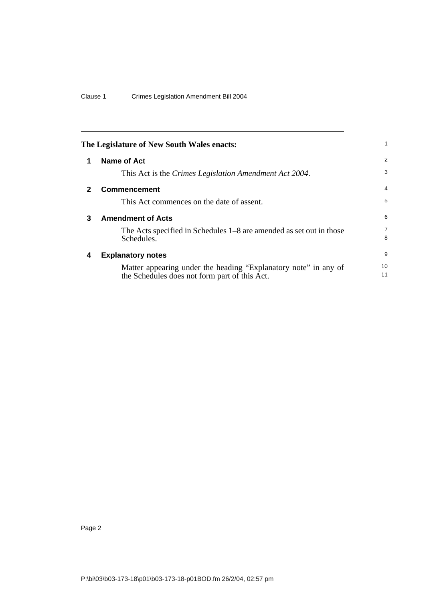<span id="page-5-3"></span><span id="page-5-2"></span><span id="page-5-1"></span><span id="page-5-0"></span>

| The Legislature of New South Wales enacts: |                                                                                                                  |                     |
|--------------------------------------------|------------------------------------------------------------------------------------------------------------------|---------------------|
|                                            | Name of Act                                                                                                      | 2                   |
|                                            | This Act is the Crimes Legislation Amendment Act 2004.                                                           | 3                   |
| $\mathbf{2}$                               | <b>Commencement</b>                                                                                              | 4                   |
|                                            | This Act commences on the date of assent.                                                                        | 5                   |
| 3                                          | <b>Amendment of Acts</b>                                                                                         | 6                   |
|                                            | The Acts specified in Schedules 1–8 are amended as set out in those<br>Schedules.                                | $\overline{7}$<br>8 |
| 4                                          | <b>Explanatory notes</b>                                                                                         | 9                   |
|                                            | Matter appearing under the heading "Explanatory note" in any of<br>the Schedules does not form part of this Act. | 10<br>11            |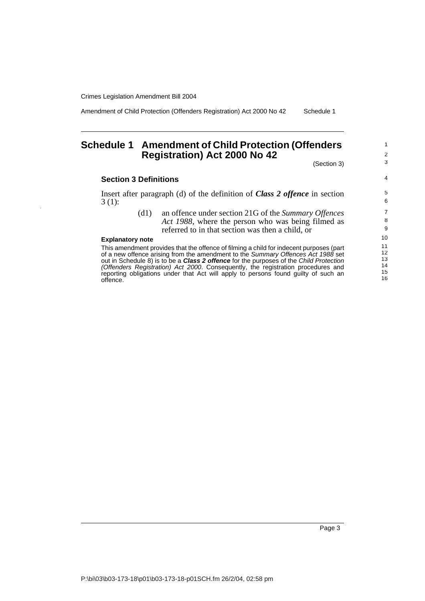Amendment of Child Protection (Offenders Registration) Act 2000 No 42 Schedule 1

# <span id="page-6-0"></span>**Schedule 1 Amendment of Child Protection (Offenders Registration) Act 2000 No 42**

(Section 3)

1 2 3

4

#### **Section 3 Definitions**

Insert after paragraph (d) of the definition of *Class 2 offence* in section 3 (1):

> (d1) an offence under section 21G of the *Summary Offences Act 1988*, where the person who was being filmed as referred to in that section was then a child, or

#### **Explanatory note**

This amendment provides that the offence of filming a child for indecent purposes (part of a new offence arising from the amendment to the Summary Offences Act 1988 set out in Schedule 8) is to be a **Class 2 offence** for the purposes of the Child Protection (Offenders Registration) Act 2000. Consequently, the registration procedures and reporting obligations under that Act will apply to persons found guilty of such an offence.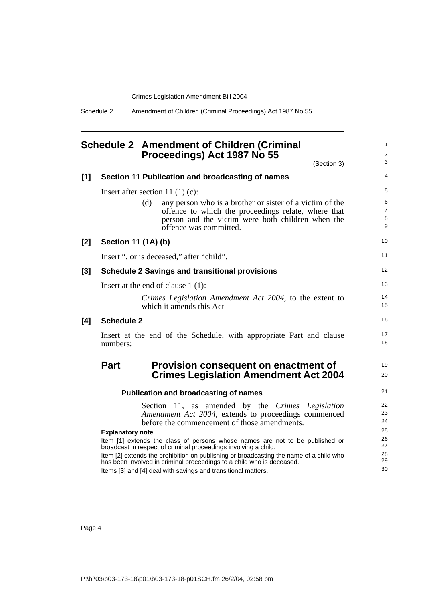Schedule 2 Amendment of Children (Criminal Proceedings) Act 1987 No 55

## <span id="page-7-0"></span>**Schedule 2 Amendment of Children (Criminal Proceedings) Act 1987 No 55**

1 2

|       | (Section 3)                                                                                                                                                                                                                                                                                                                                                                                                    | 3                                |
|-------|----------------------------------------------------------------------------------------------------------------------------------------------------------------------------------------------------------------------------------------------------------------------------------------------------------------------------------------------------------------------------------------------------------------|----------------------------------|
| [1]   | Section 11 Publication and broadcasting of names                                                                                                                                                                                                                                                                                                                                                               | 4                                |
|       | Insert after section 11 $(1)(c)$ :                                                                                                                                                                                                                                                                                                                                                                             | 5                                |
|       | (d)<br>any person who is a brother or sister of a victim of the<br>offence to which the proceedings relate, where that<br>person and the victim were both children when the<br>offence was committed.                                                                                                                                                                                                          | 6<br>$\overline{7}$<br>8<br>9    |
| [2]   | Section 11 (1A) (b)                                                                                                                                                                                                                                                                                                                                                                                            | 10                               |
|       | Insert ", or is deceased," after "child".                                                                                                                                                                                                                                                                                                                                                                      | 11                               |
| $[3]$ | <b>Schedule 2 Savings and transitional provisions</b>                                                                                                                                                                                                                                                                                                                                                          | 12                               |
|       | Insert at the end of clause $1(1)$ :                                                                                                                                                                                                                                                                                                                                                                           | 13                               |
|       | Crimes Legislation Amendment Act 2004, to the extent to<br>which it amends this Act                                                                                                                                                                                                                                                                                                                            | 14<br>15                         |
| [4]   | <b>Schedule 2</b>                                                                                                                                                                                                                                                                                                                                                                                              | 16                               |
|       | Insert at the end of the Schedule, with appropriate Part and clause<br>numbers:                                                                                                                                                                                                                                                                                                                                | 17<br>18                         |
|       | <b>Part</b><br>Provision consequent on enactment of<br><b>Crimes Legislation Amendment Act 2004</b>                                                                                                                                                                                                                                                                                                            | 19<br>20                         |
|       | <b>Publication and broadcasting of names</b>                                                                                                                                                                                                                                                                                                                                                                   | 21                               |
|       | Section 11, as amended by the Crimes Legislation<br>Amendment Act 2004, extends to proceedings commenced<br>before the commencement of those amendments.                                                                                                                                                                                                                                                       | 22<br>23<br>24                   |
|       | <b>Explanatory note</b><br>Item [1] extends the class of persons whose names are not to be published or<br>broadcast in respect of criminal proceedings involving a child.<br>Item [2] extends the prohibition on publishing or broadcasting the name of a child who<br>has been involved in criminal proceedings to a child who is deceased.<br>Items [3] and [4] deal with savings and transitional matters. | 25<br>26<br>27<br>28<br>29<br>30 |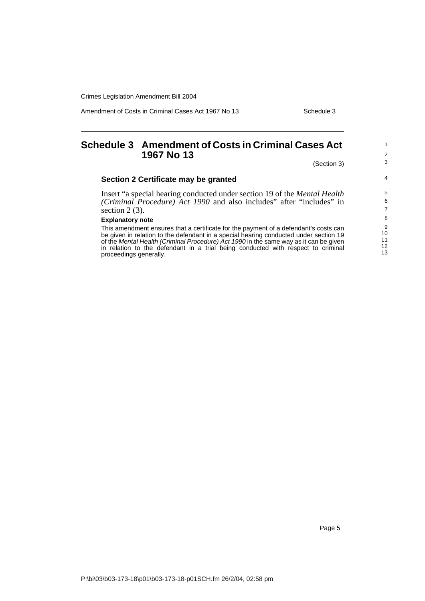Amendment of Costs in Criminal Cases Act 1967 No 13 Schedule 3

<span id="page-8-0"></span>

| <b>Schedule 3 Amendment of Costs in Criminal Cases Act</b><br>1967 No 13                                                                                                                                                                                               | $\overline{2}$                   |
|------------------------------------------------------------------------------------------------------------------------------------------------------------------------------------------------------------------------------------------------------------------------|----------------------------------|
| (Section 3)                                                                                                                                                                                                                                                            | 3                                |
| Section 2 Certificate may be granted                                                                                                                                                                                                                                   | 4                                |
| Insert "a special hearing conducted under section 19 of the <i>Mental Health</i>                                                                                                                                                                                       | 5                                |
| (Criminal Procedure) Act 1990 and also includes" after "includes" in                                                                                                                                                                                                   | 6                                |
| section $2(3)$ .                                                                                                                                                                                                                                                       | $\overline{7}$                   |
| <b>Explanatory note</b>                                                                                                                                                                                                                                                | 8                                |
| This amendment ensures that a certificate for the payment of a defendant's costs can<br>be given in relation to the defendant in a special hearing conducted under section 19<br>of the Mental Health (Criminal Procedure) Act 1990 in the same way as it can be given | 9<br>10<br>11<br>12 <sup>2</sup> |
| in relation to the defendant in a trial being conducted with respect to criminal<br>proceedings generally.                                                                                                                                                             | 13                               |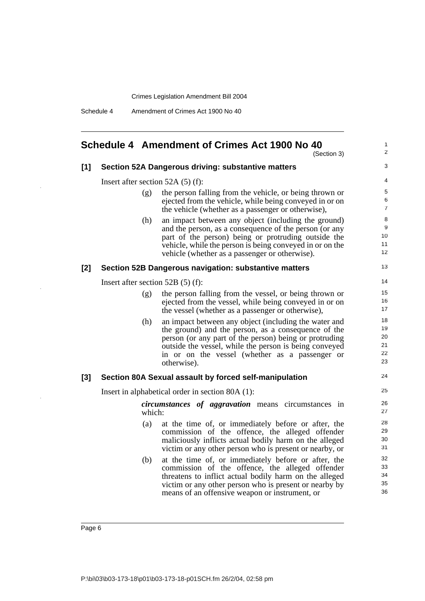Schedule 4 Amendment of Crimes Act 1900 No 40

### <span id="page-9-0"></span>**Schedule 4 Amendment of Crimes Act 1900 No 40**

(Section 3)

1 2 3

13

24

### **[1] Section 52A Dangerous driving: substantive matters**

Insert after section 52A (5) (f):

- (g) the person falling from the vehicle, or being thrown or ejected from the vehicle, while being conveyed in or on the vehicle (whether as a passenger or otherwise),
- (h) an impact between any object (including the ground) and the person, as a consequence of the person (or any part of the person) being or protruding outside the vehicle, while the person is being conveyed in or on the vehicle (whether as a passenger or otherwise).

#### **[2] Section 52B Dangerous navigation: substantive matters**

Insert after section 52B (5) (f):

- (g) the person falling from the vessel, or being thrown or ejected from the vessel, while being conveyed in or on the vessel (whether as a passenger or otherwise),
- (h) an impact between any object (including the water and the ground) and the person, as a consequence of the person (or any part of the person) being or protruding outside the vessel, while the person is being conveyed in or on the vessel (whether as a passenger or otherwise).

#### **[3] Section 80A Sexual assault by forced self-manipulation**

Insert in alphabetical order in section 80A (1):

*circumstances of aggravation* means circumstances in which:

- (a) at the time of, or immediately before or after, the commission of the offence, the alleged offender maliciously inflicts actual bodily harm on the alleged victim or any other person who is present or nearby, or
- (b) at the time of, or immediately before or after, the commission of the offence, the alleged offender threatens to inflict actual bodily harm on the alleged victim or any other person who is present or nearby by means of an offensive weapon or instrument, or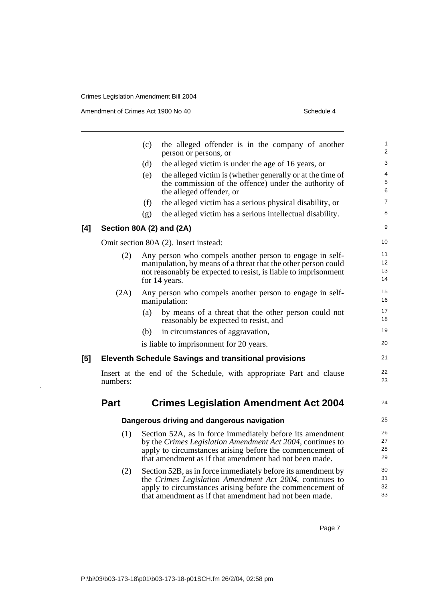Amendment of Crimes Act 1900 No 40 Schedule 4

 $[4]$ 

|     |             | (c)<br>the alleged offender is in the company of another<br>person or persons, or                                   | 1<br>$\overline{2}$ |
|-----|-------------|---------------------------------------------------------------------------------------------------------------------|---------------------|
|     |             | (d)<br>the alleged victim is under the age of 16 years, or                                                          | 3                   |
|     |             | the alleged victim is (whether generally or at the time of<br>(e)                                                   | 4                   |
|     |             | the commission of the offence) under the authority of                                                               | 5                   |
|     |             | the alleged offender, or                                                                                            | 6                   |
|     |             | (f)<br>the alleged victim has a serious physical disability, or                                                     | $\overline{7}$      |
|     |             | the alleged victim has a serious intellectual disability.<br>(g)                                                    | 8                   |
| [4] |             | Section 80A (2) and (2A)                                                                                            | 9                   |
|     |             | Omit section 80A (2). Insert instead:                                                                               | 10                  |
|     | (2)         | Any person who compels another person to engage in self-                                                            | 11                  |
|     |             | manipulation, by means of a threat that the other person could                                                      | 12<br>13            |
|     |             | not reasonably be expected to resist, is liable to imprisonment<br>for 14 years.                                    | 14                  |
|     |             |                                                                                                                     | 15                  |
|     | (2A)        | Any person who compels another person to engage in self-<br>manipulation:                                           | 16                  |
|     |             | (a)<br>by means of a threat that the other person could not                                                         | 17                  |
|     |             | reasonably be expected to resist, and                                                                               | 18                  |
|     |             | in circumstances of aggravation,<br>(b)                                                                             | 19                  |
|     |             | is liable to imprisonment for 20 years.                                                                             | 20                  |
| [5] |             | <b>Eleventh Schedule Savings and transitional provisions</b>                                                        | 21                  |
|     | numbers:    | Insert at the end of the Schedule, with appropriate Part and clause                                                 | 22<br>23            |
|     | <b>Part</b> | <b>Crimes Legislation Amendment Act 2004</b>                                                                        | 24                  |
|     |             | Dangerous driving and dangerous navigation                                                                          | 25                  |
|     | (1)         | Section 52A, as in force immediately before its amendment                                                           | 26                  |
|     |             | by the Crimes Legislation Amendment Act 2004, continues to                                                          | 27<br>28            |
|     |             | apply to circumstances arising before the commencement of<br>that amendment as if that amendment had not been made. | 29                  |
|     | (2)         | Section 52B, as in force immediately before its amendment by                                                        | 30                  |
|     |             | the Crimes Legislation Amendment Act 2004, continues to                                                             | 31                  |
|     |             | apply to circumstances arising before the commencement of<br>that amendment as if that amendment had not been made. | 32<br>33            |
|     |             |                                                                                                                     |                     |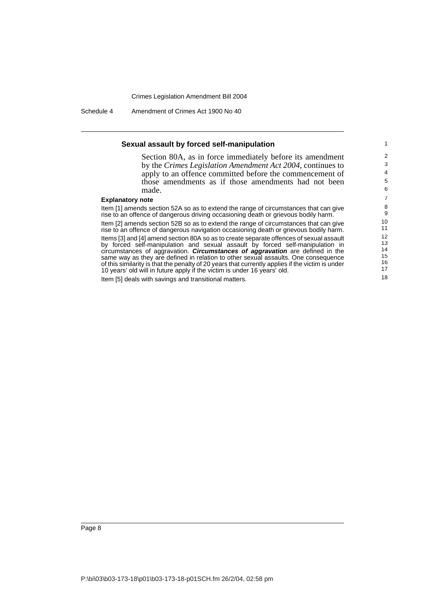Schedule 4 Amendment of Crimes Act 1900 No 40

#### **Sexual assault by forced self-manipulation**

Section 80A, as in force immediately before its amendment by the *Crimes Legislation Amendment Act 2004*, continues to apply to an offence committed before the commencement of those amendments as if those amendments had not been made.

#### **Explanatory note**

Item [1] amends section 52A so as to extend the range of circumstances that can give rise to an offence of dangerous driving occasioning death or grievous bodily harm. Item [2] amends section 52B so as to extend the range of circumstances that can give rise to an offence of dangerous navigation occasioning death or grievous bodily harm. Items [3] and [4] amend section 80A so as to create separate offences of sexual assault by forced self-manipulation and sexual assault by forced self-manipulation in

circumstances of aggravation. **Circumstances of aggravation** are defined in the same way as they are defined in relation to other sexual assaults. One consequence of this similarity is that the penalty of 20 years that currently applies if the victim is under 10 years' old will in future apply if the victim is under 16 years' old.

Item [5] deals with savings and transitional matters.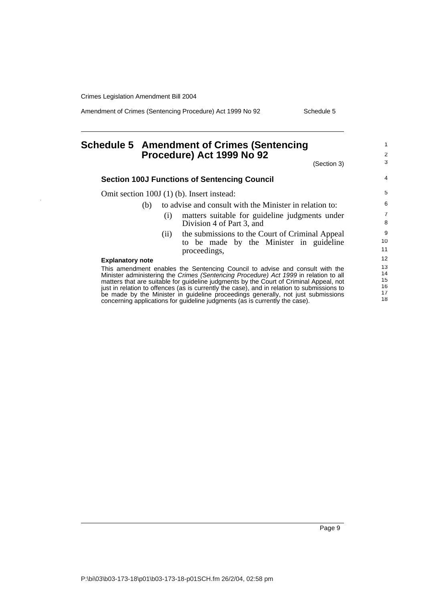Amendment of Crimes (Sentencing Procedure) Act 1999 No 92 Schedule 5

# <span id="page-12-0"></span>**Schedule 5 Amendment of Crimes (Sentencing Procedure) Act 1999 No 92**

1 2

| (Section 3)                                                                                                                                                     | 3              |
|-----------------------------------------------------------------------------------------------------------------------------------------------------------------|----------------|
| <b>Section 100J Functions of Sentencing Council</b>                                                                                                             | 4              |
| Omit section 100J (1) (b). Insert instead:                                                                                                                      | 5              |
| to advise and consult with the Minister in relation to:<br>(b)                                                                                                  | 6              |
| matters suitable for guideline judgments under<br>(1)                                                                                                           | $\overline{7}$ |
| Division 4 of Part 3, and                                                                                                                                       | 8              |
| the submissions to the Court of Criminal Appeal<br>(11)                                                                                                         | 9              |
| to be made by the Minister in guideline                                                                                                                         | 10             |
| proceedings,                                                                                                                                                    | 11             |
| <b>Explanatory note</b>                                                                                                                                         | 12             |
| This amendment enables the Sentencing Council to advise and consult with the                                                                                    | 13             |
| Minister administering the Crimes (Sentencing Procedure) Act 1999 in relation to all                                                                            | 14<br>15       |
| matters that are suitable for guideline judgments by the Court of Criminal Appeal, not                                                                          | 16             |
| just in relation to offences (as is currently the case), and in relation to submissions to                                                                      | 17             |
| be made by the Minister in guideline proceedings generally, not just submissions<br>concerning applications for guideline judgments (as is currently the case). | 18             |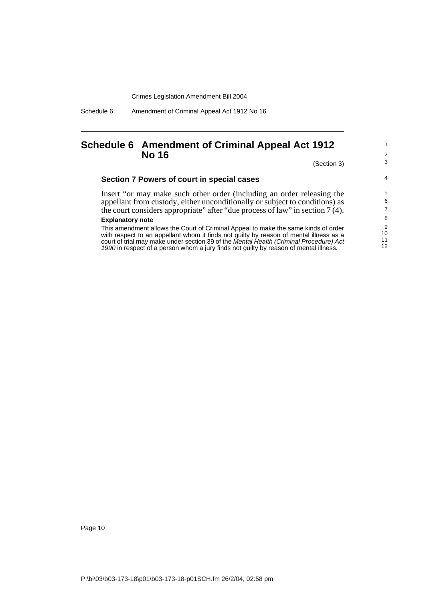Schedule 6 Amendment of Criminal Appeal Act 1912 No 16

### <span id="page-13-0"></span>**Schedule 6 Amendment of Criminal Appeal Act 1912 No 16**

(Section 3)

10

1 2 3

4

11 12

## **Section 7 Powers of court in special cases**

Insert "or may make such other order (including an order releasing the appellant from custody, either unconditionally or subject to conditions) as the court considers appropriate" after "due process of law" in section 7 (4).

#### **Explanatory note**

This amendment allows the Court of Criminal Appeal to make the same kinds of order with respect to an appellant whom it finds not guilty by reason of mental illness as a court of trial may make under section 39 of the Mental Health (Criminal Procedure) Act 1990 in respect of a person whom a jury finds not guilty by reason of mental illness.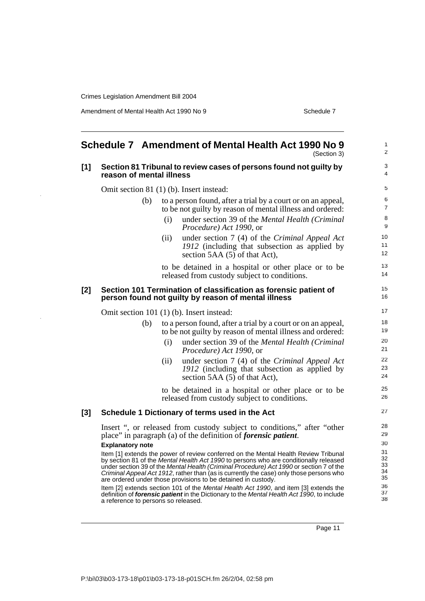J.

Amendment of Mental Health Act 1990 No 9 Schedule 7

<span id="page-14-0"></span>

|       | Schedule 7 Amendment of Mental Health Act 1990 No 9<br>(Section 3)                                                                                                                                                                                                                                                                                                                                                                  | 1<br>2                     |
|-------|-------------------------------------------------------------------------------------------------------------------------------------------------------------------------------------------------------------------------------------------------------------------------------------------------------------------------------------------------------------------------------------------------------------------------------------|----------------------------|
| [1]   | Section 81 Tribunal to review cases of persons found not guilty by<br>reason of mental illness                                                                                                                                                                                                                                                                                                                                      | 3<br>4                     |
|       | Omit section 81 (1) (b). Insert instead:                                                                                                                                                                                                                                                                                                                                                                                            | 5                          |
|       | to a person found, after a trial by a court or on an appeal,<br>(b)<br>to be not guilty by reason of mental illness and ordered:                                                                                                                                                                                                                                                                                                    | 6<br>$\overline{7}$<br>8   |
|       | under section 39 of the Mental Health (Criminal<br>(i)<br>Procedure) Act 1990, or                                                                                                                                                                                                                                                                                                                                                   | 9                          |
|       | under section 7 (4) of the Criminal Appeal Act<br>(ii)<br>1912 (including that subsection as applied by<br>section 5AA $(5)$ of that Act),                                                                                                                                                                                                                                                                                          | 10<br>11<br>12             |
|       | to be detained in a hospital or other place or to be<br>released from custody subject to conditions.                                                                                                                                                                                                                                                                                                                                | 13<br>14                   |
| [2]   | Section 101 Termination of classification as forensic patient of<br>person found not guilty by reason of mental illness                                                                                                                                                                                                                                                                                                             | 15<br>16                   |
|       | Omit section 101 (1) (b). Insert instead:                                                                                                                                                                                                                                                                                                                                                                                           | 17                         |
|       | to a person found, after a trial by a court or on an appeal,<br>(b)<br>to be not guilty by reason of mental illness and ordered:<br>under section 39 of the Mental Health (Criminal<br>(i)<br>Procedure) Act 1990, or                                                                                                                                                                                                               | 18<br>19<br>20<br>21       |
|       | under section 7 (4) of the Criminal Appeal Act<br>(ii)<br>1912 (including that subsection as applied by<br>section 5AA (5) of that Act),                                                                                                                                                                                                                                                                                            | 22<br>23<br>24             |
|       | to be detained in a hospital or other place or to be<br>released from custody subject to conditions.                                                                                                                                                                                                                                                                                                                                | 25<br>26                   |
| $[3]$ | Schedule 1 Dictionary of terms used in the Act                                                                                                                                                                                                                                                                                                                                                                                      | 27                         |
|       | Insert ", or released from custody subject to conditions," after "other<br>place" in paragraph (a) of the definition of <i>forensic patient</i> .<br><b>Explanatory note</b>                                                                                                                                                                                                                                                        | 28<br>29<br>30             |
|       | Item [1] extends the power of review conferred on the Mental Health Review Tribunal<br>by section 81 of the Mental Health Act 1990 to persons who are conditionally released<br>under section 39 of the Mental Health (Criminal Procedure) Act 1990 or section 7 of the<br>Criminal Appeal Act 1912, rather than (as is currently the case) only those persons who<br>are ordered under those provisions to be detained in custody. | 31<br>32<br>33<br>34<br>35 |
|       | Item [2] extends section 101 of the Mental Health Act 1990, and item [3] extends the<br>definition of forensic patient in the Dictionary to the Mental Health Act 1990, to include<br>a reference to persons so released.                                                                                                                                                                                                           | 36<br>37<br>38             |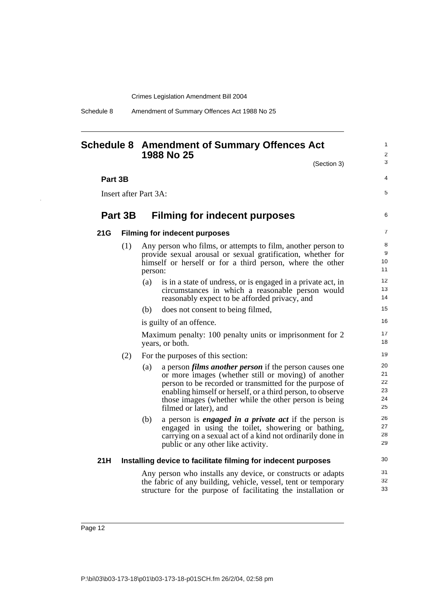Schedule 8 Amendment of Summary Offences Act 1988 No 25

## <span id="page-15-0"></span>**Schedule 8 Amendment of Summary Offences Act 1988 No 25**

(Section 3)

1  $\mathfrak{p}$ 3

4

5

6

#### **Part 3B**

Insert after Part 3A:

### **Part 3B Filming for indecent purposes**

#### **21G Filming for indecent purposes**

- (1) Any person who films, or attempts to film, another person to provide sexual arousal or sexual gratification, whether for himself or herself or for a third person, where the other person:
	- (a) is in a state of undress, or is engaged in a private act, in circumstances in which a reasonable person would reasonably expect to be afforded privacy, and
	- (b) does not consent to being filmed,

is guilty of an offence.

Maximum penalty: 100 penalty units or imprisonment for 2 years, or both.

- (2) For the purposes of this section:
	- (a) a person *films another person* if the person causes one or more images (whether still or moving) of another person to be recorded or transmitted for the purpose of enabling himself or herself, or a third person, to observe those images (whether while the other person is being filmed or later), and
	- (b) a person is *engaged in a private act* if the person is engaged in using the toilet, showering or bathing, carrying on a sexual act of a kind not ordinarily done in public or any other like activity.

#### **21H Installing device to facilitate filming for indecent purposes**

Any person who installs any device, or constructs or adapts the fabric of any building, vehicle, vessel, tent or temporary structure for the purpose of facilitating the installation or